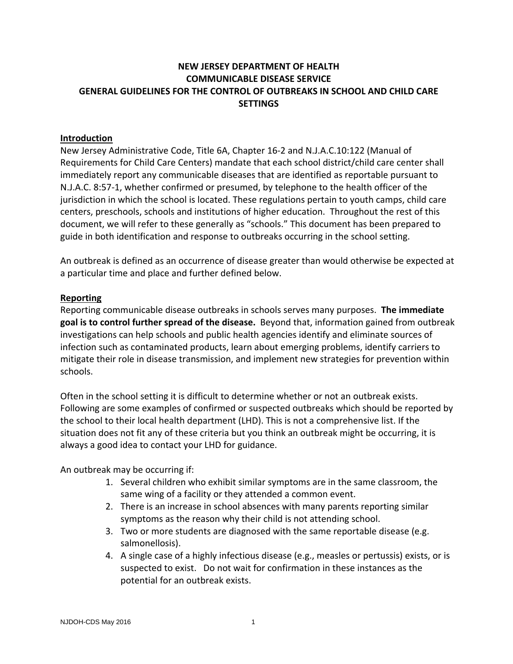## **NEW JERSEY DEPARTMENT OF HEALTH COMMUNICABLE DISEASE SERVICE GENERAL GUIDELINES FOR THE CONTROL OF OUTBREAKS IN SCHOOL AND CHILD CARE SETTINGS**

#### **Introduction**

New Jersey Administrative Code, Title 6A, Chapter 16‐2 and N.J.A.C.10:122 (Manual of Requirements for Child Care Centers) mandate that each school district/child care center shall immediately report any communicable diseases that are identified as reportable pursuant to N.J.A.C. 8:57‐1, whether confirmed or presumed, by telephone to the health officer of the jurisdiction in which the school is located. These regulations pertain to youth camps, child care centers, preschools, schools and institutions of higher education. Throughout the rest of this document, we will refer to these generally as "schools." This document has been prepared to guide in both identification and response to outbreaks occurring in the school setting.

An outbreak is defined as an occurrence of [disease](http://en.wikipedia.org/wiki/Disease) greater than would otherwise be expected at a particular time and place and further defined below.

#### **Reporting**

Reporting communicable disease outbreaks in schools serves many purposes. **The immediate goal is to control further spread of the disease.** Beyond that, information gained from outbreak investigations can help schools and public health agencies identify and eliminate sources of infection such as contaminated products, learn about emerging problems, identify carriers to mitigate their role in disease transmission, and implement new strategies for prevention within schools.

Often in the school setting it is difficult to determine whether or not an outbreak exists. Following are some examples of confirmed or suspected outbreaks which should be reported by the school to their local health department (LHD). This is not a comprehensive list. If the situation does not fit any of these criteria but you think an outbreak might be occurring, it is always a good idea to contact your LHD for guidance.

An outbreak may be occurring if:

- 1. Several children who exhibit similar symptoms are in the same classroom, the same wing of a facility or they attended a common event.
- 2. There is an increase in school absences with many parents reporting similar symptoms as the reason why their child is not attending school.
- 3. Two or more students are diagnosed with the same reportable disease (e.g. salmonellosis).
- 4. A single case of a highly infectious disease (e.g., measles or pertussis) exists, or is suspected to exist. Do not wait for confirmation in these instances as the potential for an outbreak exists.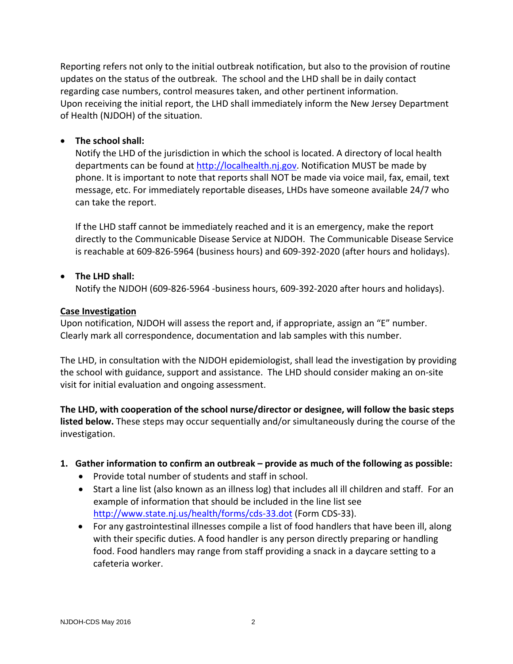Reporting refers not only to the initial outbreak notification, but also to the provision of routine updates on the status of the outbreak. The school and the LHD shall be in daily contact regarding case numbers, control measures taken, and other pertinent information. Upon receiving the initial report, the LHD shall immediately inform the New Jersey Department of Health (NJDOH) of the situation.

#### **The school shall:**

Notify the LHD of the jurisdiction in which the school is located. A directory of local health departments can be found at [http://localhealth.nj.gov.](http://localhealth.nj.gov/) Notification MUST be made by phone. It is important to note that reports shall NOT be made via voice mail, fax, email, text message, etc. For immediately reportable diseases, LHDs have someone available 24/7 who can take the report.

If the LHD staff cannot be immediately reached and it is an emergency, make the report directly to the Communicable Disease Service at NJDOH. The Communicable Disease Service is reachable at 609‐826‐5964 (business hours) and 609‐392‐2020 (after hours and holidays).

#### **The LHD shall:**

Notify the NJDOH (609‐826‐5964 ‐business hours, 609‐392‐2020 after hours and holidays).

#### **Case Investigation**

Upon notification, NJDOH will assess the report and, if appropriate, assign an "E" number. Clearly mark all correspondence, documentation and lab samples with this number.

The LHD, in consultation with the NJDOH epidemiologist, shall lead the investigation by providing the school with guidance, support and assistance. The LHD should consider making an on‐site visit for initial evaluation and ongoing assessment.

**The LHD, with cooperation of the school nurse/director or designee, will follow the basic steps listed below.** These steps may occur sequentially and/or simultaneously during the course of the investigation.

#### **1. Gather information to confirm an outbreak – provide as much of the following as possible:**

- Provide total number of students and staff in school.
- Start a line list (also known as an illness log) that includes all ill children and staff. For an example of information that should be included in the line list see [http://www.state.nj.us/health/forms/cds](http://www.state.nj.us/health/forms/cds-33.dot)‐33.dot (Form CDS‐33).
- For any gastrointestinal illnesses compile a list of food handlers that have been ill, along with their specific duties. A food handler is any person directly preparing or handling food. Food handlers may range from staff providing a snack in a daycare setting to a cafeteria worker.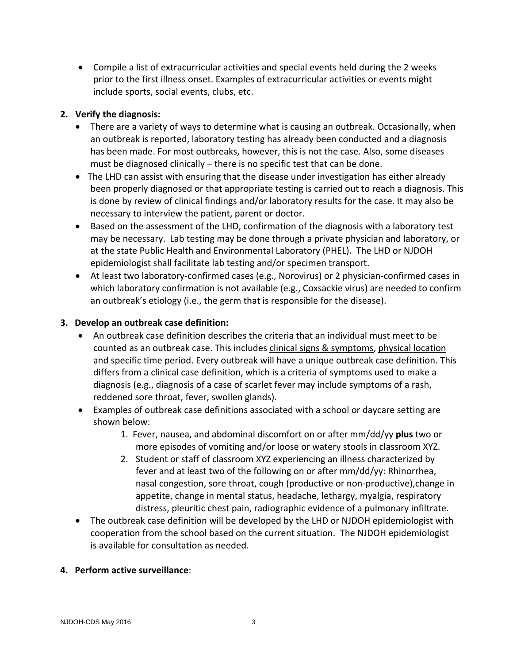Compile a list of extracurricular activities and special events held during the 2 weeks prior to the first illness onset. Examples of extracurricular activities or events might include sports, social events, clubs, etc.

## **2. Verify the diagnosis:**

- There are a variety of ways to determine what is causing an outbreak. Occasionally, when an outbreak is reported, laboratory testing has already been conducted and a diagnosis has been made. For most outbreaks, however, this is not the case. Also, some diseases must be diagnosed clinically – there is no specific test that can be done.
- The LHD can assist with ensuring that the disease under investigation has either already been properly diagnosed or that appropriate testing is carried out to reach a diagnosis. This is done by review of clinical findings and/or laboratory results for the case. It may also be necessary to interview the patient, parent or doctor.
- Based on the assessment of the LHD, confirmation of the diagnosis with a laboratory test may be necessary. Lab testing may be done through a private physician and laboratory, or at the state Public Health and Environmental Laboratory (PHEL). The LHD or NJDOH epidemiologist shall facilitate lab testing and/or specimen transport.
- At least two laboratory-confirmed cases (e.g., Norovirus) or 2 physician-confirmed cases in which laboratory confirmation is not available (e.g., Coxsackie virus) are needed to confirm an outbreak's etiology (i.e., the germ that is responsible for the disease).

# **3. Develop an outbreak case definition:**

- An outbreak case definition describes the criteria that an individual must meet to be counted as an outbreak case. This includes clinical signs & symptoms, physical location and specific time period. Every outbreak will have a unique outbreak case definition. This differs from a clinical case definition, which is a criteria of symptoms used to make a diagnosis (e.g., diagnosis of a case of scarlet fever may include symptoms of a rash, reddened sore throat, fever, swollen glands).
- Examples of outbreak case definitions associated with a school or daycare setting are shown below:
	- 1. Fever, nausea, and abdominal discomfort on or after mm/dd/yy **plus** two or more episodes of vomiting and/or loose or watery stools in classroom XYZ.
	- 2. Student or staff of classroom XYZ experiencing an illness characterized by fever and at least two of the following on or after mm/dd/yy: Rhinorrhea, nasal congestion, sore throat, cough (productive or non‐productive),change in appetite, change in mental status, headache, lethargy, myalgia, respiratory distress, pleuritic chest pain, radiographic evidence of a pulmonary infiltrate.
- The outbreak case definition will be developed by the LHD or NJDOH epidemiologist with cooperation from the school based on the current situation. The NJDOH epidemiologist is available for consultation as needed.

## **4. Perform active surveillance**: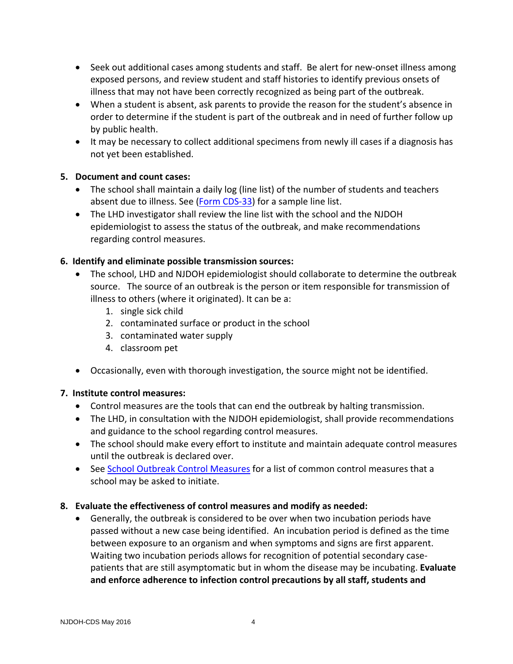- Seek out additional cases among students and staff. Be alert for new-onset illness among exposed persons, and review student and staff histories to identify previous onsets of illness that may not have been correctly recognized as being part of the outbreak.
- When a student is absent, ask parents to provide the reason for the student's absence in order to determine if the student is part of the outbreak and in need of further follow up by public health.
- It may be necessary to collect additional specimens from newly ill cases if a diagnosis has not yet been established.

## **5. Document and count cases:**

- The school shall maintain a daily log (line list) of the number of students and teachers absent due to illness. See [\(Form](http://www.state.nj.us/health/forms/cds-33.dot) CDS-33) for a sample line list.
- The LHD investigator shall review the line list with the school and the NJDOH epidemiologist to assess the status of the outbreak, and make recommendations regarding control measures.

## **6. Identify and eliminate possible transmission sources:**

- The school, LHD and NJDOH epidemiologist should collaborate to determine the outbreak source. The source of an outbreak is the person or item responsible for transmission of illness to others (where it originated). It can be a:
	- 1. single sick child
	- 2. contaminated surface or product in the school
	- 3. contaminated water supply
	- 4. classroom pet
- Occasionally, even with thorough investigation, the source might not be identified.

## **7. Institute control measures:**

- Control measures are the tools that can end the outbreak by halting transmission.
- The LHD, in consultation with the NJDOH epidemiologist, shall provide recommendations and guidance to the school regarding control measures.
- The school should make every effort to institute and maintain adequate control measures until the outbreak is declared over.
- See School Outbreak Control [Measures](#page-5-0) for a list of common control measures that a school may be asked to initiate.

## **8. Evaluate the effectiveness of control measures and modify as needed:**

 Generally, the outbreak is considered to be over when two incubation periods have passed without a new case being identified. An incubation period is defined as the time between exposure to an [organism](http://en.wikipedia.org/wiki/Organism) and when [symptoms](http://en.wikipedia.org/wiki/Symptoms) and signs are first apparent. Waiting two incubation periods allows for recognition of potential secondary case‐ patients that are still asymptomatic but in whom the disease may be incubating. **Evaluate and enforce adherence to infection control precautions by all staff, students and**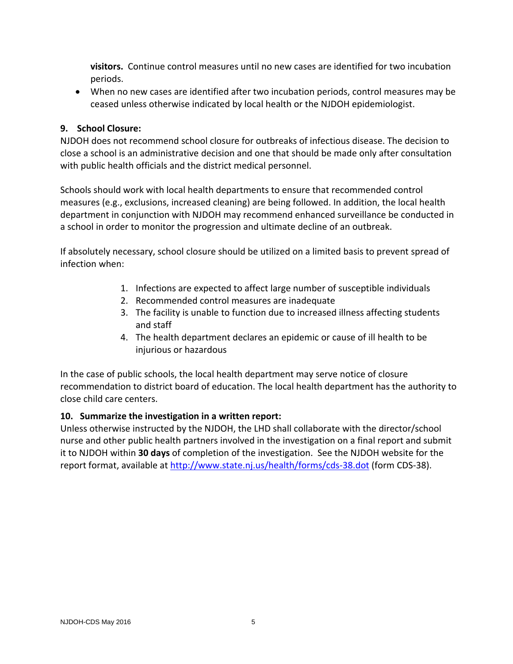**visitors.** Continue control measures until no new cases are identified for two incubation periods.

 When no new cases are identified after two incubation periods, control measures may be ceased unless otherwise indicated by local health or the NJDOH epidemiologist.

## **9. School Closure:**

NJDOH does not recommend school closure for outbreaks of infectious disease. The decision to close a school is an administrative decision and one that should be made only after consultation with public health officials and the district medical personnel.

Schools should work with local health departments to ensure that recommended control measures (e.g., exclusions, increased cleaning) are being followed. In addition, the local health department in conjunction with NJDOH may recommend enhanced surveillance be conducted in a school in order to monitor the progression and ultimate decline of an outbreak.

If absolutely necessary, school closure should be utilized on a limited basis to prevent spread of infection when:

- 1. Infections are expected to affect large number of susceptible individuals
- 2. Recommended control measures are inadequate
- 3. The facility is unable to function due to increased illness affecting students and staff
- 4. The health department declares an epidemic or cause of ill health to be injurious or hazardous

In the case of public schools, the local health department may serve notice of closure recommendation to district board of education. The local health department has the authority to close child care centers.

## **10. Summarize the investigation in a written report:**

Unless otherwise instructed by the NJDOH, the LHD shall collaborate with the director/school nurse and other public health partners involved in the investigation on a final report and submit it to NJDOH within **30 days** of completion of the investigation. See the NJDOH website for the report format, available at [http://www.state.nj.us/health/forms/cds](http://www.state.nj.us/health/forms/cds-38.dot)-38.dot (form CDS-38).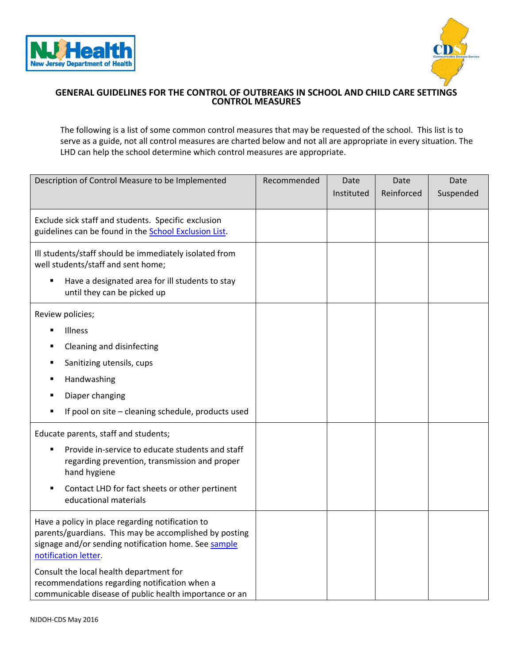<span id="page-5-0"></span>



#### **GENERAL GUIDELINES FOR THE CONTROL OF OUTBREAKS IN SCHOOL AND CHILD CARE SETTINGS CONTROL MEASURES**

The following is a list of some common control measures that may be requested of the school. This list is to serve as a guide, not all control measures are charted below and not all are appropriate in every situation. The LHD can help the school determine which control measures are appropriate.

| Description of Control Measure to be Implemented                                                                                                                                           | Recommended | Date       | Date       | Date      |
|--------------------------------------------------------------------------------------------------------------------------------------------------------------------------------------------|-------------|------------|------------|-----------|
|                                                                                                                                                                                            |             | Instituted | Reinforced | Suspended |
| Exclude sick staff and students. Specific exclusion<br>guidelines can be found in the School Exclusion List.                                                                               |             |            |            |           |
| Ill students/staff should be immediately isolated from<br>well students/staff and sent home;<br>Have a designated area for ill students to stay<br>٠<br>until they can be picked up        |             |            |            |           |
|                                                                                                                                                                                            |             |            |            |           |
| Review policies;                                                                                                                                                                           |             |            |            |           |
| Illness<br>$\blacksquare$                                                                                                                                                                  |             |            |            |           |
| Cleaning and disinfecting<br>п                                                                                                                                                             |             |            |            |           |
| Sanitizing utensils, cups                                                                                                                                                                  |             |            |            |           |
| Handwashing<br>п                                                                                                                                                                           |             |            |            |           |
| Diaper changing<br>п                                                                                                                                                                       |             |            |            |           |
| If pool on site - cleaning schedule, products used<br>٠                                                                                                                                    |             |            |            |           |
| Educate parents, staff and students;                                                                                                                                                       |             |            |            |           |
| Provide in-service to educate students and staff<br>٠<br>regarding prevention, transmission and proper<br>hand hygiene                                                                     |             |            |            |           |
| Contact LHD for fact sheets or other pertinent<br>п<br>educational materials                                                                                                               |             |            |            |           |
| Have a policy in place regarding notification to<br>parents/guardians. This may be accomplished by posting<br>signage and/or sending notification home. See sample<br>notification letter. |             |            |            |           |
| Consult the local health department for<br>recommendations regarding notification when a<br>communicable disease of public health importance or an                                         |             |            |            |           |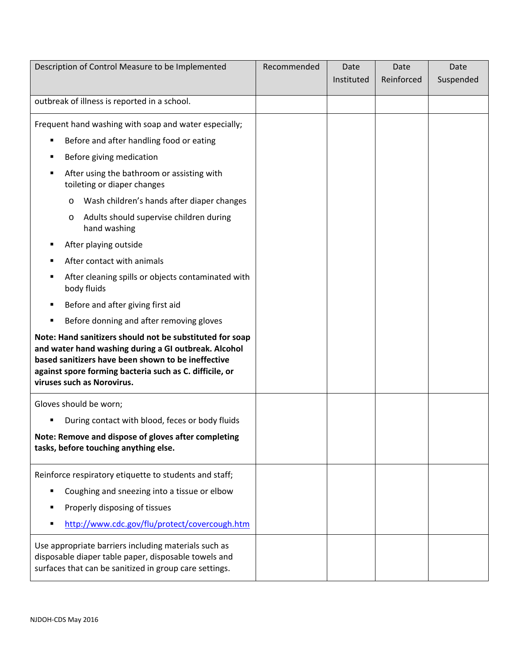| Description of Control Measure to be Implemented                                                                                                                                                                                                                | Recommended | Date<br>Instituted | Date<br>Reinforced | Date<br>Suspended |
|-----------------------------------------------------------------------------------------------------------------------------------------------------------------------------------------------------------------------------------------------------------------|-------------|--------------------|--------------------|-------------------|
| outbreak of illness is reported in a school.                                                                                                                                                                                                                    |             |                    |                    |                   |
| Frequent hand washing with soap and water especially;                                                                                                                                                                                                           |             |                    |                    |                   |
| Before and after handling food or eating                                                                                                                                                                                                                        |             |                    |                    |                   |
| Before giving medication                                                                                                                                                                                                                                        |             |                    |                    |                   |
| After using the bathroom or assisting with<br>٠<br>toileting or diaper changes                                                                                                                                                                                  |             |                    |                    |                   |
| Wash children's hands after diaper changes<br>O                                                                                                                                                                                                                 |             |                    |                    |                   |
| Adults should supervise children during<br>O<br>hand washing                                                                                                                                                                                                    |             |                    |                    |                   |
| After playing outside                                                                                                                                                                                                                                           |             |                    |                    |                   |
| After contact with animals                                                                                                                                                                                                                                      |             |                    |                    |                   |
| After cleaning spills or objects contaminated with<br>body fluids                                                                                                                                                                                               |             |                    |                    |                   |
| Before and after giving first aid                                                                                                                                                                                                                               |             |                    |                    |                   |
| Before donning and after removing gloves                                                                                                                                                                                                                        |             |                    |                    |                   |
| Note: Hand sanitizers should not be substituted for soap<br>and water hand washing during a GI outbreak. Alcohol<br>based sanitizers have been shown to be ineffective<br>against spore forming bacteria such as C. difficile, or<br>viruses such as Norovirus. |             |                    |                    |                   |
| Gloves should be worn;                                                                                                                                                                                                                                          |             |                    |                    |                   |
| During contact with blood, feces or body fluids                                                                                                                                                                                                                 |             |                    |                    |                   |
| Note: Remove and dispose of gloves after completing<br>tasks, before touching anything else.                                                                                                                                                                    |             |                    |                    |                   |
| Reinforce respiratory etiquette to students and staff;                                                                                                                                                                                                          |             |                    |                    |                   |
| Coughing and sneezing into a tissue or elbow<br>٠                                                                                                                                                                                                               |             |                    |                    |                   |
| Properly disposing of tissues                                                                                                                                                                                                                                   |             |                    |                    |                   |
| http://www.cdc.gov/flu/protect/covercough.htm                                                                                                                                                                                                                   |             |                    |                    |                   |
| Use appropriate barriers including materials such as<br>disposable diaper table paper, disposable towels and<br>surfaces that can be sanitized in group care settings.                                                                                          |             |                    |                    |                   |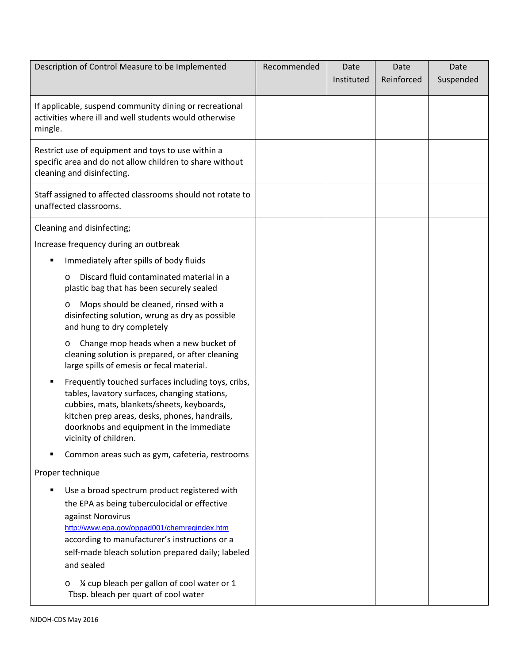| Description of Control Measure to be Implemented                                                                                                                                                                                                                                           | Recommended | Date       | Date       | Date      |
|--------------------------------------------------------------------------------------------------------------------------------------------------------------------------------------------------------------------------------------------------------------------------------------------|-------------|------------|------------|-----------|
|                                                                                                                                                                                                                                                                                            |             | Instituted | Reinforced | Suspended |
| If applicable, suspend community dining or recreational<br>activities where ill and well students would otherwise<br>mingle.                                                                                                                                                               |             |            |            |           |
| Restrict use of equipment and toys to use within a<br>specific area and do not allow children to share without<br>cleaning and disinfecting.                                                                                                                                               |             |            |            |           |
| Staff assigned to affected classrooms should not rotate to<br>unaffected classrooms.                                                                                                                                                                                                       |             |            |            |           |
| Cleaning and disinfecting;                                                                                                                                                                                                                                                                 |             |            |            |           |
| Increase frequency during an outbreak                                                                                                                                                                                                                                                      |             |            |            |           |
| Immediately after spills of body fluids<br>п                                                                                                                                                                                                                                               |             |            |            |           |
| Discard fluid contaminated material in a<br>$\circ$<br>plastic bag that has been securely sealed                                                                                                                                                                                           |             |            |            |           |
| Mops should be cleaned, rinsed with a<br>O<br>disinfecting solution, wrung as dry as possible<br>and hung to dry completely                                                                                                                                                                |             |            |            |           |
| Change mop heads when a new bucket of<br>O<br>cleaning solution is prepared, or after cleaning<br>large spills of emesis or fecal material.                                                                                                                                                |             |            |            |           |
| Frequently touched surfaces including toys, cribs,<br>٠<br>tables, lavatory surfaces, changing stations,<br>cubbies, mats, blankets/sheets, keyboards,<br>kitchen prep areas, desks, phones, handrails,<br>doorknobs and equipment in the immediate<br>vicinity of children.               |             |            |            |           |
| Common areas such as gym, cafeteria, restrooms                                                                                                                                                                                                                                             |             |            |            |           |
| Proper technique                                                                                                                                                                                                                                                                           |             |            |            |           |
| Use a broad spectrum product registered with<br>٠<br>the EPA as being tuberculocidal or effective<br>against Norovirus<br>http://www.epa.gov/oppad001/chemregindex.htm<br>according to manufacturer's instructions or a<br>self-made bleach solution prepared daily; labeled<br>and sealed |             |            |            |           |
| 1⁄4 cup bleach per gallon of cool water or 1<br>O<br>Tbsp. bleach per quart of cool water                                                                                                                                                                                                  |             |            |            |           |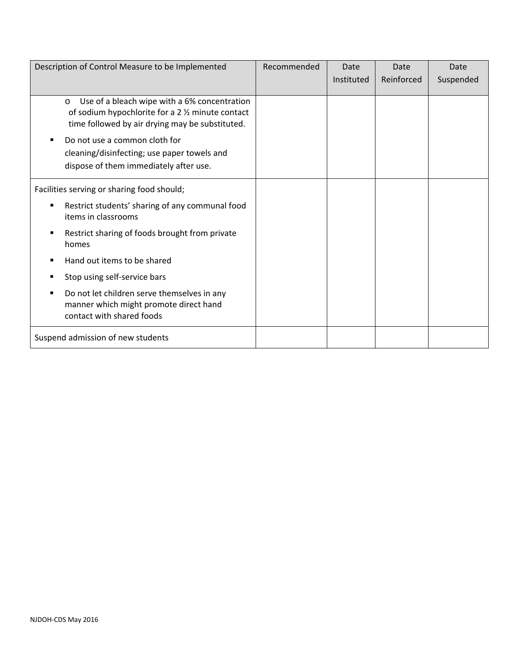| Description of Control Measure to be Implemented                                                                                                                                                                                                                                               | Recommended | Date       | Date       | Date      |
|------------------------------------------------------------------------------------------------------------------------------------------------------------------------------------------------------------------------------------------------------------------------------------------------|-------------|------------|------------|-----------|
|                                                                                                                                                                                                                                                                                                |             | Instituted | Reinforced | Suspended |
| Use of a bleach wipe with a 6% concentration<br>$\circ$<br>of sodium hypochlorite for a 2 1/2 minute contact<br>time followed by air drying may be substituted.<br>Do not use a common cloth for<br>٠<br>cleaning/disinfecting; use paper towels and<br>dispose of them immediately after use. |             |            |            |           |
| Facilities serving or sharing food should;                                                                                                                                                                                                                                                     |             |            |            |           |
| Restrict students' sharing of any communal food<br>п<br>items in classrooms                                                                                                                                                                                                                    |             |            |            |           |
| Restrict sharing of foods brought from private<br>п<br>homes                                                                                                                                                                                                                                   |             |            |            |           |
| Hand out items to be shared                                                                                                                                                                                                                                                                    |             |            |            |           |
| Stop using self-service bars<br>п                                                                                                                                                                                                                                                              |             |            |            |           |
| Do not let children serve themselves in any<br>п<br>manner which might promote direct hand<br>contact with shared foods                                                                                                                                                                        |             |            |            |           |
| Suspend admission of new students                                                                                                                                                                                                                                                              |             |            |            |           |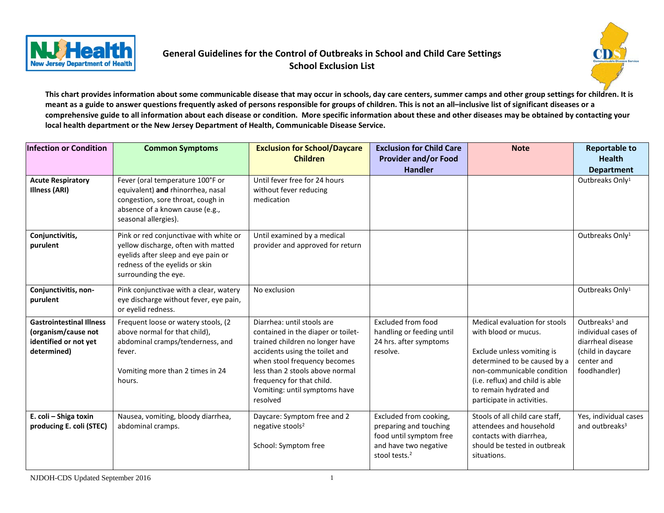

# **General Guidelines for the Control of Outbreaks in School and Child Care Settings School Exclusion List**



**This chart provides information about some communicable disease that may occur in schools, day care centers, summer camps and other group settings for children. It is meant as a guide to answer questions frequently asked of persons responsible for groups of children. This is not an all–inclusive list of significant diseases or a comprehensive guide to all information about each disease or condition. More specific information about these and other diseases may be obtained by contacting your local health department or the New Jersey Department of Health, Communicable Disease Service.**

| <b>Infection or Condition</b>                                                                  | <b>Common Symptoms</b>                                                                                                                                                         | <b>Exclusion for School/Daycare</b><br><b>Children</b>                                                                                                                                                                                                                             | <b>Exclusion for Child Care</b><br><b>Provider and/or Food</b><br><b>Handler</b>                                                  | <b>Note</b>                                                                                                                                                                                                                                  | <b>Reportable to</b><br><b>Health</b><br><b>Department</b>                                                                |
|------------------------------------------------------------------------------------------------|--------------------------------------------------------------------------------------------------------------------------------------------------------------------------------|------------------------------------------------------------------------------------------------------------------------------------------------------------------------------------------------------------------------------------------------------------------------------------|-----------------------------------------------------------------------------------------------------------------------------------|----------------------------------------------------------------------------------------------------------------------------------------------------------------------------------------------------------------------------------------------|---------------------------------------------------------------------------------------------------------------------------|
| <b>Acute Respiratory</b><br><b>Illness (ARI)</b>                                               | Fever (oral temperature 100°F or<br>equivalent) and rhinorrhea, nasal<br>congestion, sore throat, cough in<br>absence of a known cause (e.g.,<br>seasonal allergies).          | Until fever free for 24 hours<br>without fever reducing<br>medication                                                                                                                                                                                                              |                                                                                                                                   |                                                                                                                                                                                                                                              | Outbreaks Only <sup>1</sup>                                                                                               |
| Conjunctivitis,<br>purulent                                                                    | Pink or red conjunctivae with white or<br>yellow discharge, often with matted<br>eyelids after sleep and eye pain or<br>redness of the eyelids or skin<br>surrounding the eye. | Until examined by a medical<br>provider and approved for return                                                                                                                                                                                                                    |                                                                                                                                   |                                                                                                                                                                                                                                              | Outbreaks Only <sup>1</sup>                                                                                               |
| Conjunctivitis, non-<br>purulent                                                               | Pink conjunctivae with a clear, watery<br>eye discharge without fever, eye pain,<br>or eyelid redness.                                                                         | No exclusion                                                                                                                                                                                                                                                                       |                                                                                                                                   |                                                                                                                                                                                                                                              | Outbreaks Only <sup>1</sup>                                                                                               |
| <b>Gastrointestinal Illness</b><br>(organism/cause not<br>identified or not yet<br>determined) | Frequent loose or watery stools, (2<br>above normal for that child),<br>abdominal cramps/tenderness, and<br>fever.<br>Vomiting more than 2 times in 24<br>hours.               | Diarrhea: until stools are<br>contained in the diaper or toilet-<br>trained children no longer have<br>accidents using the toilet and<br>when stool frequency becomes<br>less than 2 stools above normal<br>frequency for that child.<br>Vomiting: until symptoms have<br>resolved | Excluded from food<br>handling or feeding until<br>24 hrs. after symptoms<br>resolve.                                             | Medical evaluation for stools<br>with blood or mucus.<br>Exclude unless vomiting is<br>determined to be caused by a<br>non-communicable condition<br>(i.e. reflux) and child is able<br>to remain hydrated and<br>participate in activities. | Outbreaks <sup>1</sup> and<br>individual cases of<br>diarrheal disease<br>(child in daycare<br>center and<br>foodhandler) |
| E. coli - Shiga toxin<br>producing E. coli (STEC)                                              | Nausea, vomiting, bloody diarrhea,<br>abdominal cramps.                                                                                                                        | Daycare: Symptom free and 2<br>negative stools <sup>2</sup><br>School: Symptom free                                                                                                                                                                                                | Excluded from cooking,<br>preparing and touching<br>food until symptom free<br>and have two negative<br>stool tests. <sup>2</sup> | Stools of all child care staff,<br>attendees and household<br>contacts with diarrhea,<br>should be tested in outbreak<br>situations.                                                                                                         | Yes, individual cases<br>and outbreaks <sup>3</sup>                                                                       |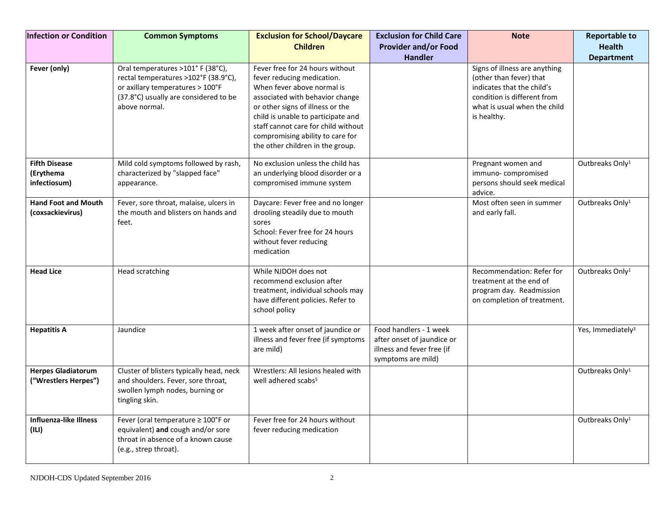| <b>Infection or Condition</b>                     | <b>Common Symptoms</b>                                                                                                                                                  | <b>Exclusion for School/Daycare</b><br><b>Children</b>                                                                                                                                                                                                                                                                  | <b>Exclusion for Child Care</b><br><b>Provider and/or Food</b><br><b>Handler</b>                         | <b>Note</b>                                                                                                                                                          | <b>Reportable to</b><br><b>Health</b><br><b>Department</b> |
|---------------------------------------------------|-------------------------------------------------------------------------------------------------------------------------------------------------------------------------|-------------------------------------------------------------------------------------------------------------------------------------------------------------------------------------------------------------------------------------------------------------------------------------------------------------------------|----------------------------------------------------------------------------------------------------------|----------------------------------------------------------------------------------------------------------------------------------------------------------------------|------------------------------------------------------------|
| Fever (only)                                      | Oral temperatures >101° F (38°C),<br>rectal temperatures >102°F (38.9°C),<br>or axillary temperatures > 100°F<br>(37.8°C) usually are considered to be<br>above normal. | Fever free for 24 hours without<br>fever reducing medication.<br>When fever above normal is<br>associated with behavior change<br>or other signs of illness or the<br>child is unable to participate and<br>staff cannot care for child without<br>compromising ability to care for<br>the other children in the group. |                                                                                                          | Signs of illness are anything<br>(other than fever) that<br>indicates that the child's<br>condition is different from<br>what is usual when the child<br>is healthy. |                                                            |
| <b>Fifth Disease</b><br>(Erythema<br>infectiosum) | Mild cold symptoms followed by rash,<br>characterized by "slapped face"<br>appearance.                                                                                  | No exclusion unless the child has<br>an underlying blood disorder or a<br>compromised immune system                                                                                                                                                                                                                     |                                                                                                          | Pregnant women and<br>immuno-compromised<br>persons should seek medical<br>advice.                                                                                   | Outbreaks Only <sup>1</sup>                                |
| <b>Hand Foot and Mouth</b><br>(coxsackievirus)    | Fever, sore throat, malaise, ulcers in<br>the mouth and blisters on hands and<br>feet.                                                                                  | Daycare: Fever free and no longer<br>drooling steadily due to mouth<br>sores<br>School: Fever free for 24 hours<br>without fever reducing<br>medication                                                                                                                                                                 |                                                                                                          | Most often seen in summer<br>and early fall.                                                                                                                         | Outbreaks Only <sup>1</sup>                                |
| <b>Head Lice</b>                                  | Head scratching                                                                                                                                                         | While NJDOH does not<br>recommend exclusion after<br>treatment, individual schools may<br>have different policies. Refer to<br>school policy                                                                                                                                                                            |                                                                                                          | Recommendation: Refer for<br>treatment at the end of<br>program day. Readmission<br>on completion of treatment.                                                      | Outbreaks Only <sup>1</sup>                                |
| <b>Hepatitis A</b>                                | Jaundice                                                                                                                                                                | 1 week after onset of jaundice or<br>illness and fever free (if symptoms<br>are mild)                                                                                                                                                                                                                                   | Food handlers - 1 week<br>after onset of jaundice or<br>illness and fever free (if<br>symptoms are mild) |                                                                                                                                                                      | Yes, Immediately <sup>3</sup>                              |
| <b>Herpes Gladiatorum</b><br>("Wrestlers Herpes") | Cluster of blisters typically head, neck<br>and shoulders. Fever, sore throat,<br>swollen lymph nodes, burning or<br>tingling skin.                                     | Wrestlers: All lesions healed with<br>well adhered scabs <sup>5</sup>                                                                                                                                                                                                                                                   |                                                                                                          |                                                                                                                                                                      | Outbreaks Only <sup>1</sup>                                |
| <b>Influenza-like Illness</b><br>(III)            | Fever (oral temperature ≥ 100°F or<br>equivalent) and cough and/or sore<br>throat in absence of a known cause<br>(e.g., strep throat).                                  | Fever free for 24 hours without<br>fever reducing medication                                                                                                                                                                                                                                                            |                                                                                                          |                                                                                                                                                                      | Outbreaks Only <sup>1</sup>                                |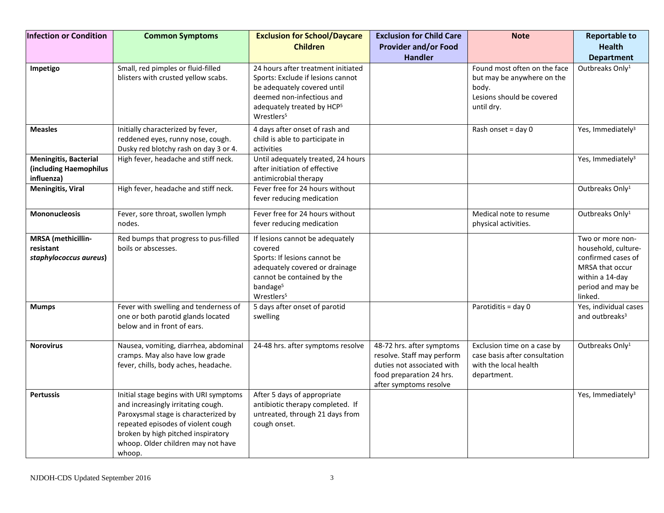| <b>Infection or Condition</b>                                        | <b>Common Symptoms</b>                                                                                                                                                                                                                           | <b>Exclusion for School/Daycare</b><br><b>Children</b>                                                                                                                                                  | <b>Exclusion for Child Care</b><br><b>Provider and/or Food</b><br><b>Handler</b>                                                            | <b>Note</b>                                                                                                    | <b>Reportable to</b><br><b>Health</b><br><b>Department</b>                                                                          |
|----------------------------------------------------------------------|--------------------------------------------------------------------------------------------------------------------------------------------------------------------------------------------------------------------------------------------------|---------------------------------------------------------------------------------------------------------------------------------------------------------------------------------------------------------|---------------------------------------------------------------------------------------------------------------------------------------------|----------------------------------------------------------------------------------------------------------------|-------------------------------------------------------------------------------------------------------------------------------------|
| Impetigo                                                             | Small, red pimples or fluid-filled<br>blisters with crusted yellow scabs.                                                                                                                                                                        | 24 hours after treatment initiated<br>Sports: Exclude if lesions cannot<br>be adequately covered until<br>deemed non-infectious and<br>adequately treated by HCP <sup>5</sup><br>Wrestlers <sup>5</sup> |                                                                                                                                             | Found most often on the face<br>but may be anywhere on the<br>body.<br>Lesions should be covered<br>until dry. | Outbreaks Only <sup>1</sup>                                                                                                         |
| <b>Measles</b>                                                       | Initially characterized by fever,<br>reddened eyes, runny nose, cough.<br>Dusky red blotchy rash on day 3 or 4.                                                                                                                                  | 4 days after onset of rash and<br>child is able to participate in<br>activities                                                                                                                         |                                                                                                                                             | Rash onset = day 0                                                                                             | Yes, Immediately <sup>3</sup>                                                                                                       |
| <b>Meningitis, Bacterial</b><br>(including Haemophilus<br>influenza) | High fever, headache and stiff neck.                                                                                                                                                                                                             | Until adequately treated, 24 hours<br>after initiation of effective<br>antimicrobial therapy                                                                                                            |                                                                                                                                             |                                                                                                                | Yes, Immediately <sup>3</sup>                                                                                                       |
| <b>Meningitis, Viral</b>                                             | High fever, headache and stiff neck.                                                                                                                                                                                                             | Fever free for 24 hours without<br>fever reducing medication                                                                                                                                            |                                                                                                                                             |                                                                                                                | Outbreaks Only <sup>1</sup>                                                                                                         |
| <b>Mononucleosis</b>                                                 | Fever, sore throat, swollen lymph<br>nodes.                                                                                                                                                                                                      | Fever free for 24 hours without<br>fever reducing medication                                                                                                                                            |                                                                                                                                             | Medical note to resume<br>physical activities.                                                                 | Outbreaks Only <sup>1</sup>                                                                                                         |
| MRSA (methicillin-<br>resistant<br>staphylococcus aureus)            | Red bumps that progress to pus-filled<br>boils or abscesses.                                                                                                                                                                                     | If lesions cannot be adequately<br>covered<br>Sports: If lesions cannot be<br>adequately covered or drainage<br>cannot be contained by the<br>bandage <sup>5</sup><br>Wrestlers <sup>5</sup>            |                                                                                                                                             |                                                                                                                | Two or more non-<br>household, culture-<br>confirmed cases of<br>MRSA that occur<br>within a 14-day<br>period and may be<br>linked. |
| <b>Mumps</b>                                                         | Fever with swelling and tenderness of<br>one or both parotid glands located<br>below and in front of ears.                                                                                                                                       | 5 days after onset of parotid<br>swelling                                                                                                                                                               |                                                                                                                                             | Parotiditis = day 0                                                                                            | Yes, individual cases<br>and outbreaks <sup>3</sup>                                                                                 |
| <b>Norovirus</b>                                                     | Nausea, vomiting, diarrhea, abdominal<br>cramps. May also have low grade<br>fever, chills, body aches, headache.                                                                                                                                 | 24-48 hrs. after symptoms resolve                                                                                                                                                                       | 48-72 hrs. after symptoms<br>resolve. Staff may perform<br>duties not associated with<br>food preparation 24 hrs.<br>after symptoms resolve | Exclusion time on a case by<br>case basis after consultation<br>with the local health<br>department.           | Outbreaks Only <sup>1</sup>                                                                                                         |
| <b>Pertussis</b>                                                     | Initial stage begins with URI symptoms<br>and increasingly irritating cough.<br>Paroxysmal stage is characterized by<br>repeated episodes of violent cough<br>broken by high pitched inspiratory<br>whoop. Older children may not have<br>whoop. | After 5 days of appropriate<br>antibiotic therapy completed. If<br>untreated, through 21 days from<br>cough onset.                                                                                      |                                                                                                                                             |                                                                                                                | Yes, Immediately <sup>3</sup>                                                                                                       |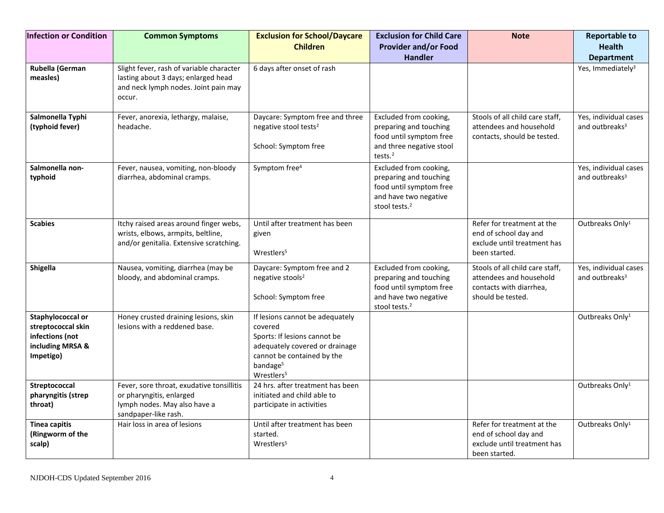| <b>Infection or Condition</b>                                                               | <b>Common Symptoms</b>                                                                                                            | <b>Exclusion for School/Daycare</b><br><b>Children</b>                                                                                                                                       | <b>Exclusion for Child Care</b><br><b>Provider and/or Food</b><br><b>Handler</b>                                                  | <b>Note</b>                                                                                                | <b>Reportable to</b><br><b>Health</b><br><b>Department</b> |
|---------------------------------------------------------------------------------------------|-----------------------------------------------------------------------------------------------------------------------------------|----------------------------------------------------------------------------------------------------------------------------------------------------------------------------------------------|-----------------------------------------------------------------------------------------------------------------------------------|------------------------------------------------------------------------------------------------------------|------------------------------------------------------------|
| Rubella (German<br>measles)                                                                 | Slight fever, rash of variable character<br>lasting about 3 days; enlarged head<br>and neck lymph nodes. Joint pain may<br>occur. | 6 days after onset of rash                                                                                                                                                                   |                                                                                                                                   |                                                                                                            | Yes, Immediately <sup>3</sup>                              |
| Salmonella Typhi<br>(typhoid fever)                                                         | Fever, anorexia, lethargy, malaise,<br>headache.                                                                                  | Daycare: Symptom free and three<br>negative stool tests <sup>2</sup><br>School: Symptom free                                                                                                 | Excluded from cooking,<br>preparing and touching<br>food until symptom free<br>and three negative stool<br>tests. $2$             | Stools of all child care staff,<br>attendees and household<br>contacts, should be tested.                  | Yes, individual cases<br>and outbreaks <sup>3</sup>        |
| Salmonella non-<br>typhoid                                                                  | Fever, nausea, vomiting, non-bloody<br>diarrhea, abdominal cramps.                                                                | Symptom free <sup>4</sup>                                                                                                                                                                    | Excluded from cooking,<br>preparing and touching<br>food until symptom free<br>and have two negative<br>stool tests. <sup>2</sup> |                                                                                                            | Yes, individual cases<br>and outbreaks <sup>3</sup>        |
| <b>Scabies</b>                                                                              | Itchy raised areas around finger webs,<br>wrists, elbows, armpits, beltline,<br>and/or genitalia. Extensive scratching.           | Until after treatment has been<br>given<br>Wrestlers <sup>5</sup>                                                                                                                            |                                                                                                                                   | Refer for treatment at the<br>end of school day and<br>exclude until treatment has<br>been started.        | Outbreaks Only <sup>1</sup>                                |
| Shigella                                                                                    | Nausea, vomiting, diarrhea (may be<br>bloody, and abdominal cramps.                                                               | Daycare: Symptom free and 2<br>negative stools <sup>2</sup><br>School: Symptom free                                                                                                          | Excluded from cooking,<br>preparing and touching<br>food until symptom free<br>and have two negative<br>stool tests. <sup>2</sup> | Stools of all child care staff,<br>attendees and household<br>contacts with diarrhea,<br>should be tested. | Yes, individual cases<br>and outbreaks <sup>3</sup>        |
| Staphylococcal or<br>streptococcal skin<br>infections (not<br>including MRSA &<br>Impetigo) | Honey crusted draining lesions, skin<br>lesions with a reddened base.                                                             | If lesions cannot be adequately<br>covered<br>Sports: If lesions cannot be<br>adequately covered or drainage<br>cannot be contained by the<br>bandage <sup>5</sup><br>Wrestlers <sup>5</sup> |                                                                                                                                   |                                                                                                            | Outbreaks Only <sup>1</sup>                                |
| Streptococcal<br>pharyngitis (strep<br>throat)                                              | Fever, sore throat, exudative tonsillitis<br>or pharyngitis, enlarged<br>lymph nodes. May also have a<br>sandpaper-like rash.     | 24 hrs. after treatment has been<br>initiated and child able to<br>participate in activities                                                                                                 |                                                                                                                                   |                                                                                                            | Outbreaks Only <sup>1</sup>                                |
| <b>Tinea capitis</b><br>(Ringworm of the<br>scalp)                                          | Hair loss in area of lesions                                                                                                      | Until after treatment has been<br>started.<br>Wrestlers <sup>5</sup>                                                                                                                         |                                                                                                                                   | Refer for treatment at the<br>end of school day and<br>exclude until treatment has<br>been started.        | Outbreaks Only <sup>1</sup>                                |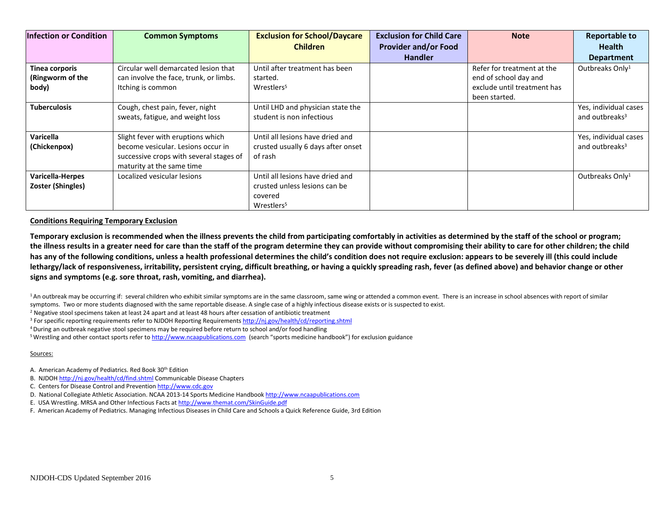| <b>Infection or Condition</b>                | <b>Common Symptoms</b>                                                                                                                          | <b>Exclusion for School/Daycare</b><br><b>Children</b>                                                 | <b>Exclusion for Child Care</b><br><b>Provider and/or Food</b><br><b>Handler</b> | <b>Note</b>                                                                                         | <b>Reportable to</b><br><b>Health</b><br><b>Department</b> |
|----------------------------------------------|-------------------------------------------------------------------------------------------------------------------------------------------------|--------------------------------------------------------------------------------------------------------|----------------------------------------------------------------------------------|-----------------------------------------------------------------------------------------------------|------------------------------------------------------------|
| Tinea corporis<br>(Ringworm of the<br>body)  | Circular well demarcated lesion that<br>can involve the face, trunk, or limbs.<br>Itching is common                                             | Until after treatment has been<br>started.<br>Wrestlers <sup>5</sup>                                   |                                                                                  | Refer for treatment at the<br>end of school day and<br>exclude until treatment has<br>been started. | Outbreaks Only <sup>1</sup>                                |
| <b>Tuberculosis</b>                          | Cough, chest pain, fever, night<br>sweats, fatigue, and weight loss                                                                             | Until LHD and physician state the<br>student is non infectious                                         |                                                                                  |                                                                                                     | Yes, individual cases<br>and outbreaks <sup>3</sup>        |
| Varicella<br>(Chickenpox)                    | Slight fever with eruptions which<br>become vesicular. Lesions occur in<br>successive crops with several stages of<br>maturity at the same time | Until all lesions have dried and<br>crusted usually 6 days after onset<br>of rash                      |                                                                                  |                                                                                                     | Yes, individual cases<br>and outbreaks <sup>3</sup>        |
| <b>Varicella-Herpes</b><br>Zoster (Shingles) | Localized vesicular lesions                                                                                                                     | Until all lesions have dried and<br>crusted unless lesions can be<br>covered<br>Wrestlers <sup>5</sup> |                                                                                  |                                                                                                     | Outbreaks Only <sup>1</sup>                                |

#### **Conditions Requiring Temporary Exclusion**

**Temporary exclusion is recommended when the illness prevents the child from participating comfortably in activities as determined by the staff of the school or program; the illness results in a greater need for care than the staff of the program determine they can provide without compromising their ability to care for other children; the child has any of the following conditions, unless a health professional determines the child's condition does not require exclusion: appears to be severely ill (this could include lethargy/lack of responsiveness, irritability, persistent crying, difficult breathing, or having a quickly spreading rash, fever (as defined above) and behavior change or other signs and symptoms (e.g. sore throat, rash, vomiting, and diarrhea).** 

<sup>1</sup> An outbreak may be occurring if: several children who exhibit similar symptoms are in the same classroom, same wing or attended a common event. There is an increase in school absences with report of similar symptoms. Two or more students diagnosed with the same reportable disease. A single case of a highly infectious disease exists or is suspected to exist.

 $<sup>2</sup>$  Negative stool specimens taken at least 24 apart and at least 48 hours after cessation of antibiotic treatment</sup>

- <sup>3</sup> For specific reporting requirements refer to NJDOH Reporting Requirement[s http://nj.gov/health/cd/reporting.shtml](http://nj.gov/health/cd/reporting.shtml)
- 4 During an outbreak negative stool specimens may be required before return to school and/or food handling
- <sup>5</sup> Wrestling and other contact sports refer to [http://www.ncaapublications.com](http://www.ncaapublications.com/) (search "sports medicine handbook") for exclusion guidance

#### Sources:

- A. American Academy of Pediatrics. Red Book 30<sup>th</sup> Edition
- B. NJDO[H http://nj.gov/health/cd/find.shtml](http://nj.gov/health/cd/find.shtml) Communicable Disease Chapters
- C. Centers for Disease Control and Preventio[n http://www.cdc.gov](http://www.cdc.gov/)
- D. National Collegiate Athletic Association. NCAA 2013-14 Sports Medicine Handbook [http://www.ncaapublications.com](http://www.ncaapublications.com/)
- E. USA Wrestling. MRSA and Other Infectious Facts at<http://www.themat.com/SkinGuide.pdf>
- F. American Academy of Pediatrics. Managing Infectious Diseases in Child Care and Schools a Quick Reference Guide, 3rd Edition